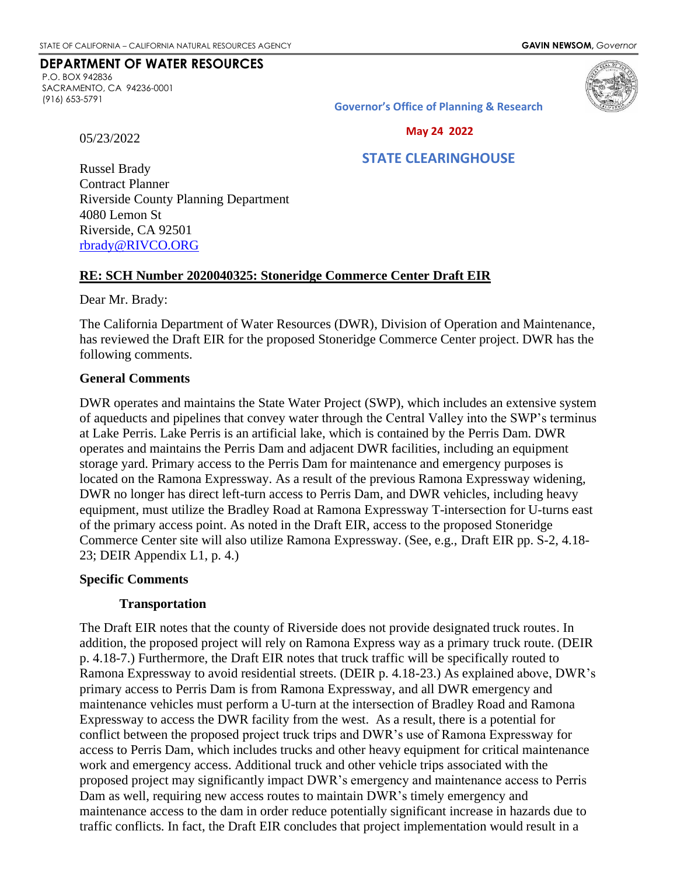## **DEPARTMENT OF WATER RESOURCES**

P.O. BOX 942836 SACRAMENTO, CA 94236-0001 (916) 653-5791



**Governor's Office of Planning & Research**

05/23/2022

#### **May 24 2022**

# **STATE CLEARINGHOUSE**

Russel Brady Contract Planner Riverside County Planning Department 4080 Lemon St Riverside, CA 92501 [rbrady@RIVCO.ORG](mailto:rbrady@RIVCO.ORG)

#### **RE: SCH Number 2020040325: Stoneridge Commerce Center Draft EIR**

Dear Mr. Brady:

The California Department of Water Resources (DWR), Division of Operation and Maintenance, has reviewed the Draft EIR for the proposed Stoneridge Commerce Center project. DWR has the following comments.

#### **General Comments**

DWR operates and maintains the State Water Project (SWP), which includes an extensive system of aqueducts and pipelines that convey water through the Central Valley into the SWP's terminus at Lake Perris. Lake Perris is an artificial lake, which is contained by the Perris Dam. DWR operates and maintains the Perris Dam and adjacent DWR facilities, including an equipment storage yard. Primary access to the Perris Dam for maintenance and emergency purposes is located on the Ramona Expressway. As a result of the previous Ramona Expressway widening, DWR no longer has direct left-turn access to Perris Dam, and DWR vehicles, including heavy equipment, must utilize the Bradley Road at Ramona Expressway T-intersection for U-turns east of the primary access point. As noted in the Draft EIR, access to the proposed Stoneridge Commerce Center site will also utilize Ramona Expressway. (See, e.g., Draft EIR pp. S-2, 4.18- 23; DEIR Appendix L1, p. 4.)

## **Specific Comments**

## **Transportation**

The Draft EIR notes that the county of Riverside does not provide designated truck routes. In addition, the proposed project will rely on Ramona Express way as a primary truck route. (DEIR p. 4.18-7.) Furthermore, the Draft EIR notes that truck traffic will be specifically routed to Ramona Expressway to avoid residential streets. (DEIR p. 4.18-23.) As explained above, DWR's primary access to Perris Dam is from Ramona Expressway, and all DWR emergency and maintenance vehicles must perform a U-turn at the intersection of Bradley Road and Ramona Expressway to access the DWR facility from the west. As a result, there is a potential for conflict between the proposed project truck trips and DWR's use of Ramona Expressway for access to Perris Dam, which includes trucks and other heavy equipment for critical maintenance work and emergency access. Additional truck and other vehicle trips associated with the proposed project may significantly impact DWR's emergency and maintenance access to Perris Dam as well, requiring new access routes to maintain DWR's timely emergency and maintenance access to the dam in order reduce potentially significant increase in hazards due to traffic conflicts. In fact, the Draft EIR concludes that project implementation would result in a